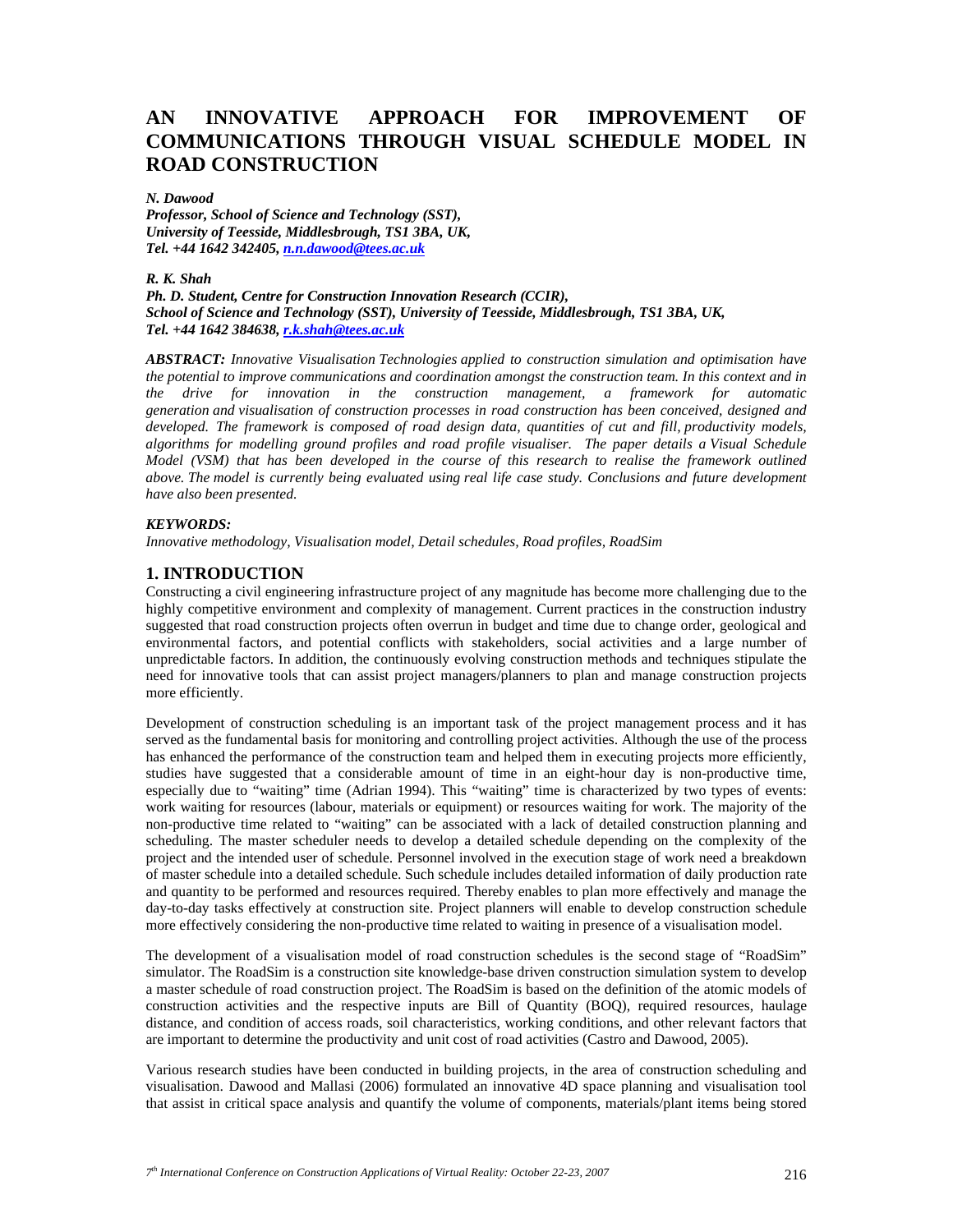# **AN INNOVATIVE APPROACH FOR IMPROVEMENT OF COMMUNICATIONS THROUGH VISUAL SCHEDULE MODEL IN ROAD CONSTRUCTION**

#### *N. Dawood*

*Professor, School of Science and Technology (SST), University of Teesside, Middlesbrough, TS1 3BA, UK, Tel. +44 1642 342405, n.n.dawood@tees.ac.uk*

### *R. K. Shah*

### *Ph. D. Student, Centre for Construction Innovation Research (CCIR), School of Science and Technology (SST), University of Teesside, Middlesbrough, TS1 3BA, UK, Tel. +44 1642 384638, r.k.shah@tees.ac.uk*

*ABSTRACT: Innovative Visualisation Technologies applied to construction simulation and optimisation have the potential to improve communications and coordination amongst the construction team. In this context and in the drive for innovation in the construction management, a framework for automatic generation and visualisation of construction processes in road construction has been conceived, designed and developed. The framework is composed of road design data, quantities of cut and fill, productivity models, algorithms for modelling ground profiles and road profile visualiser. The paper details a Visual Schedule Model (VSM) that has been developed in the course of this research to realise the framework outlined above. The model is currently being evaluated using real life case study. Conclusions and future development have also been presented.* 

### *KEYWORDS:*

*Innovative methodology, Visualisation model, Detail schedules, Road profiles, RoadSim* 

# **1. INTRODUCTION**

Constructing a civil engineering infrastructure project of any magnitude has become more challenging due to the highly competitive environment and complexity of management. Current practices in the construction industry suggested that road construction projects often overrun in budget and time due to change order, geological and environmental factors, and potential conflicts with stakeholders, social activities and a large number of unpredictable factors. In addition, the continuously evolving construction methods and techniques stipulate the need for innovative tools that can assist project managers/planners to plan and manage construction projects more efficiently.

Development of construction scheduling is an important task of the project management process and it has served as the fundamental basis for monitoring and controlling project activities. Although the use of the process has enhanced the performance of the construction team and helped them in executing projects more efficiently, studies have suggested that a considerable amount of time in an eight-hour day is non-productive time, especially due to "waiting" time (Adrian 1994). This "waiting" time is characterized by two types of events: work waiting for resources (labour, materials or equipment) or resources waiting for work. The majority of the non-productive time related to "waiting" can be associated with a lack of detailed construction planning and scheduling. The master scheduler needs to develop a detailed schedule depending on the complexity of the project and the intended user of schedule. Personnel involved in the execution stage of work need a breakdown of master schedule into a detailed schedule. Such schedule includes detailed information of daily production rate and quantity to be performed and resources required. Thereby enables to plan more effectively and manage the day-to-day tasks effectively at construction site. Project planners will enable to develop construction schedule more effectively considering the non-productive time related to waiting in presence of a visualisation model.

The development of a visualisation model of road construction schedules is the second stage of "RoadSim" simulator. The RoadSim is a construction site knowledge-base driven construction simulation system to develop a master schedule of road construction project. The RoadSim is based on the definition of the atomic models of construction activities and the respective inputs are Bill of Quantity (BOQ), required resources, haulage distance, and condition of access roads, soil characteristics, working conditions, and other relevant factors that are important to determine the productivity and unit cost of road activities (Castro and Dawood, 2005).

Various research studies have been conducted in building projects, in the area of construction scheduling and visualisation. Dawood and Mallasi (2006) formulated an innovative 4D space planning and visualisation tool that assist in critical space analysis and quantify the volume of components, materials/plant items being stored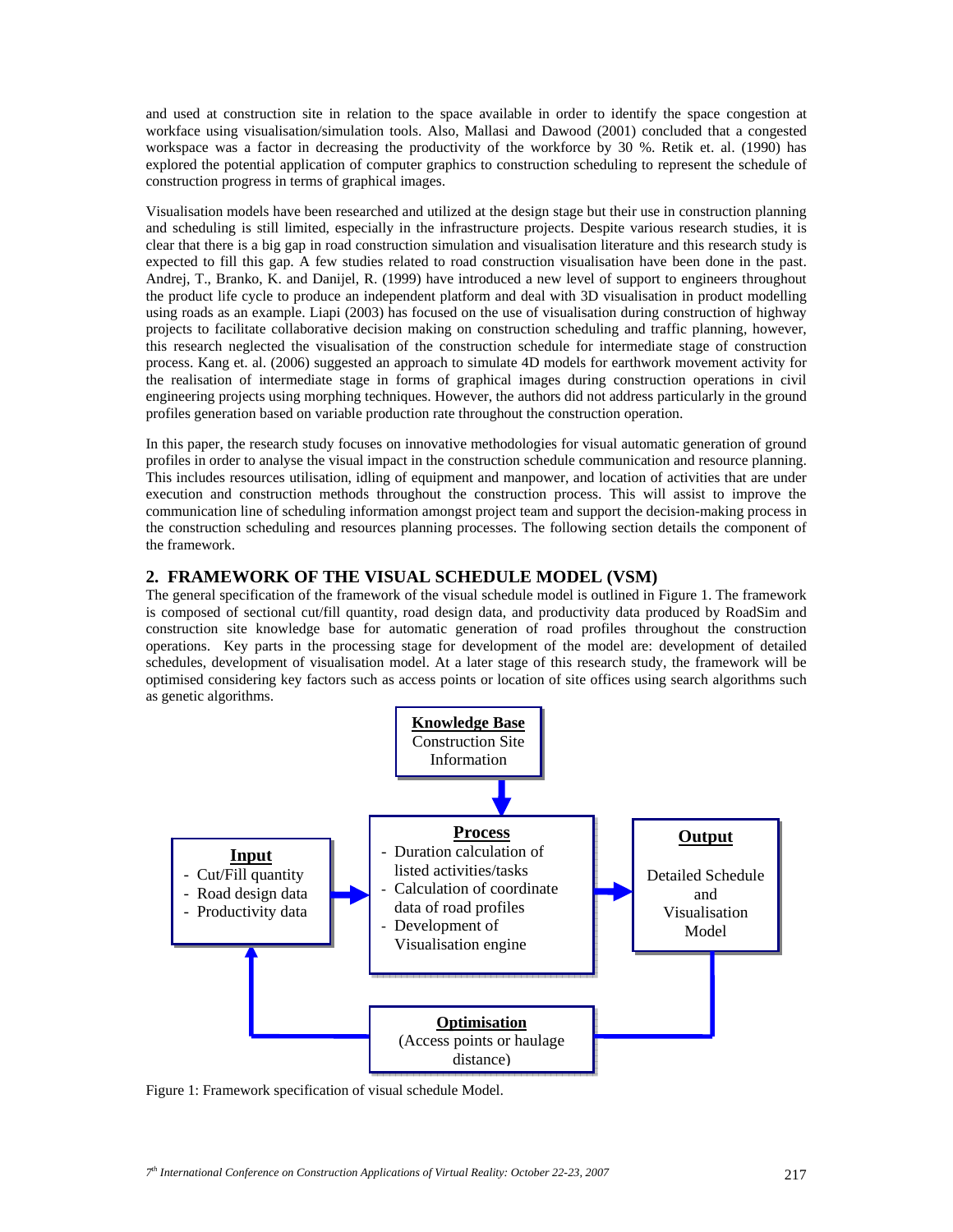and used at construction site in relation to the space available in order to identify the space congestion at workface using visualisation/simulation tools. Also, Mallasi and Dawood (2001) concluded that a congested workspace was a factor in decreasing the productivity of the workforce by 30 %. Retik et. al. (1990) has explored the potential application of computer graphics to construction scheduling to represent the schedule of construction progress in terms of graphical images.

Visualisation models have been researched and utilized at the design stage but their use in construction planning and scheduling is still limited, especially in the infrastructure projects. Despite various research studies, it is clear that there is a big gap in road construction simulation and visualisation literature and this research study is expected to fill this gap. A few studies related to road construction visualisation have been done in the past. Andrej, T., Branko, K. and Danijel, R. (1999) have introduced a new level of support to engineers throughout the product life cycle to produce an independent platform and deal with 3D visualisation in product modelling using roads as an example. Liapi (2003) has focused on the use of visualisation during construction of highway projects to facilitate collaborative decision making on construction scheduling and traffic planning, however, this research neglected the visualisation of the construction schedule for intermediate stage of construction process. Kang et. al. (2006) suggested an approach to simulate 4D models for earthwork movement activity for the realisation of intermediate stage in forms of graphical images during construction operations in civil engineering projects using morphing techniques. However, the authors did not address particularly in the ground profiles generation based on variable production rate throughout the construction operation.

In this paper, the research study focuses on innovative methodologies for visual automatic generation of ground profiles in order to analyse the visual impact in the construction schedule communication and resource planning. This includes resources utilisation, idling of equipment and manpower, and location of activities that are under execution and construction methods throughout the construction process. This will assist to improve the communication line of scheduling information amongst project team and support the decision-making process in the construction scheduling and resources planning processes. The following section details the component of the framework.

### **2. FRAMEWORK OF THE VISUAL SCHEDULE MODEL (VSM)**

The general specification of the framework of the visual schedule model is outlined in Figure 1. The framework is composed of sectional cut/fill quantity, road design data, and productivity data produced by RoadSim and construction site knowledge base for automatic generation of road profiles throughout the construction operations. Key parts in the processing stage for development of the model are: development of detailed schedules, development of visualisation model. At a later stage of this research study, the framework will be optimised considering key factors such as access points or location of site offices using search algorithms such as genetic algorithms.



Figure 1: Framework specification of visual schedule Model.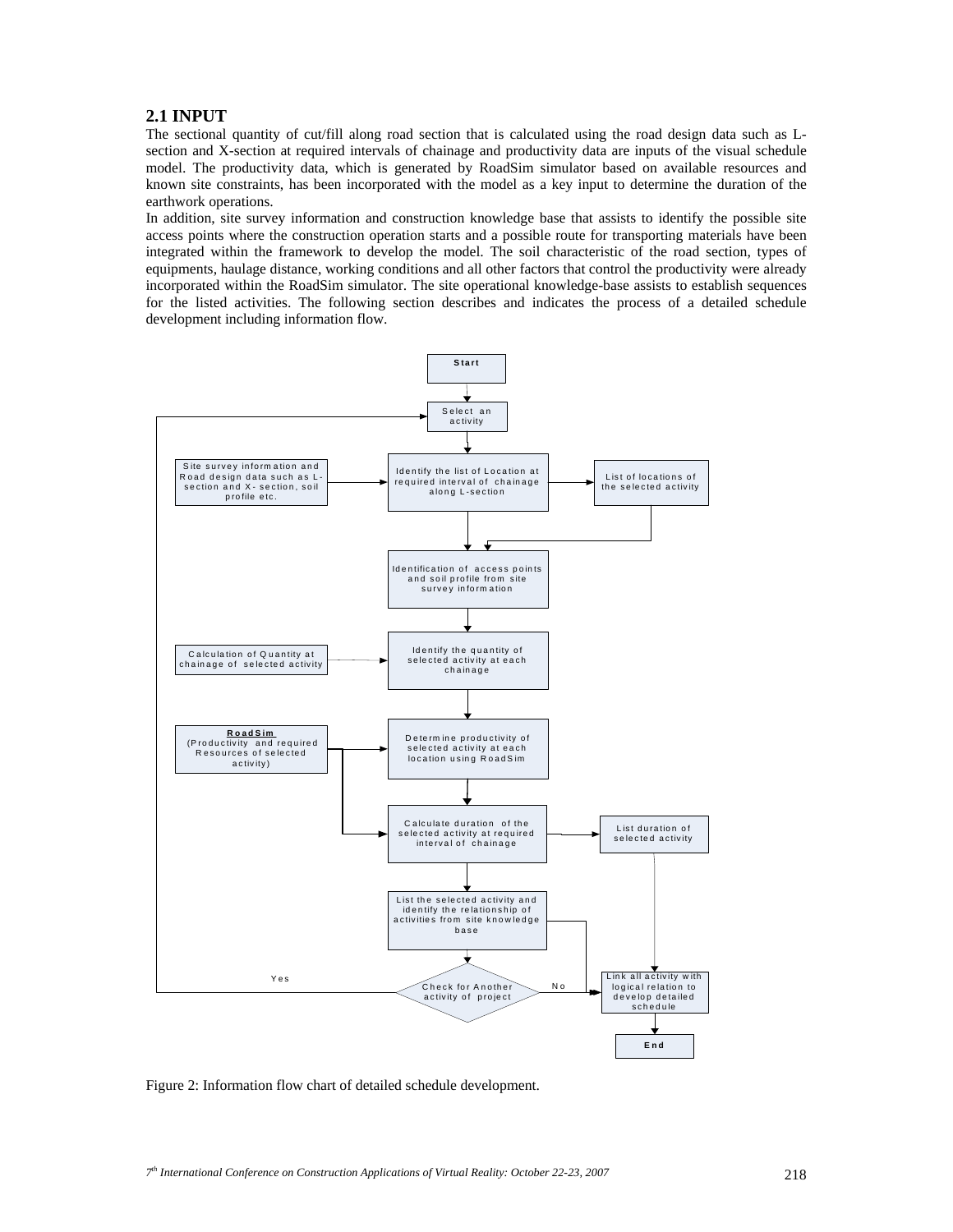# **2.1 INPUT**

The sectional quantity of cut/fill along road section that is calculated using the road design data such as Lsection and X-section at required intervals of chainage and productivity data are inputs of the visual schedule model. The productivity data, which is generated by RoadSim simulator based on available resources and known site constraints, has been incorporated with the model as a key input to determine the duration of the earthwork operations.

In addition, site survey information and construction knowledge base that assists to identify the possible site access points where the construction operation starts and a possible route for transporting materials have been integrated within the framework to develop the model. The soil characteristic of the road section, types of equipments, haulage distance, working conditions and all other factors that control the productivity were already incorporated within the RoadSim simulator. The site operational knowledge-base assists to establish sequences for the listed activities. The following section describes and indicates the process of a detailed schedule development including information flow.



Figure 2: Information flow chart of detailed schedule development.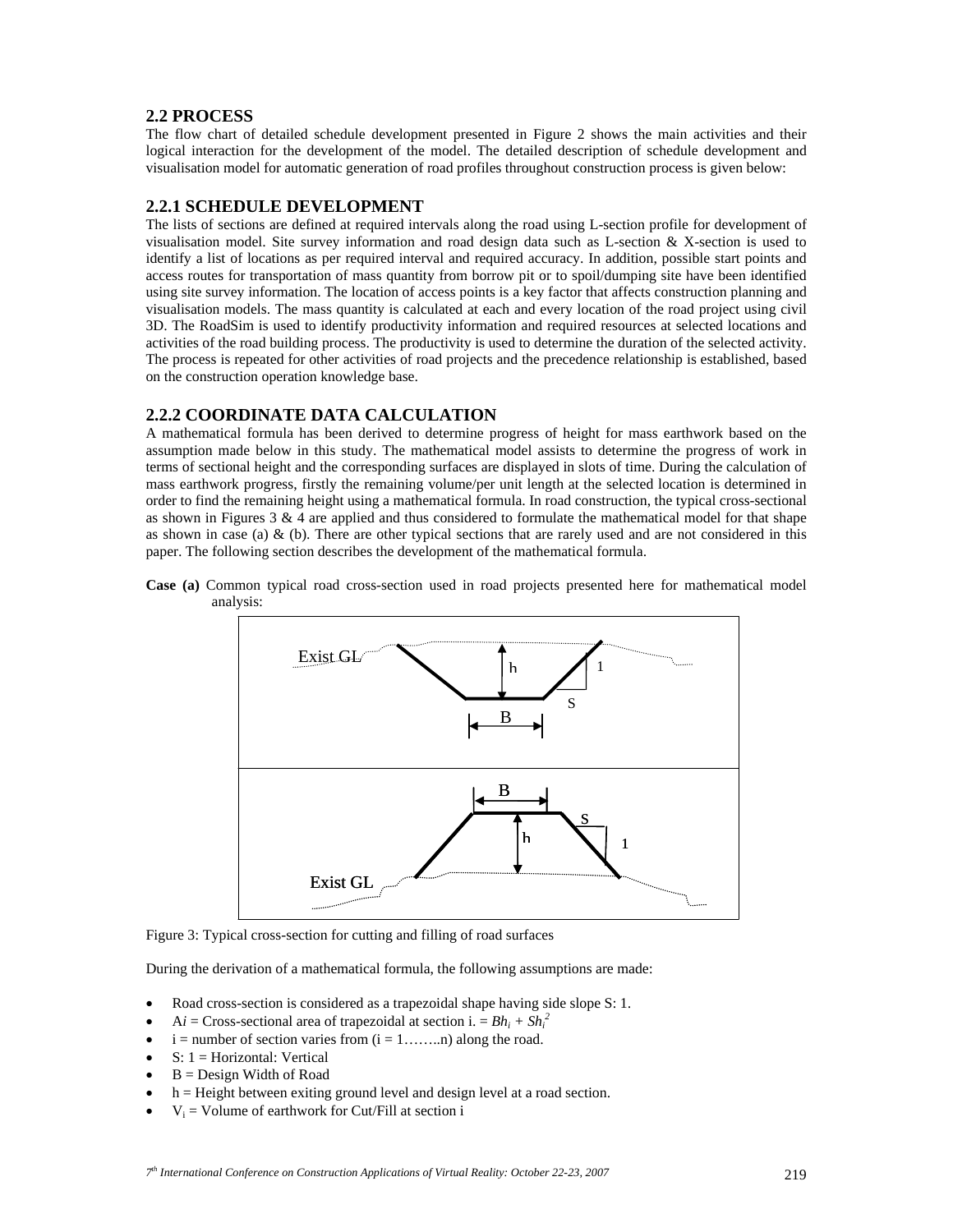# **2.2 PROCESS**

The flow chart of detailed schedule development presented in Figure 2 shows the main activities and their logical interaction for the development of the model. The detailed description of schedule development and visualisation model for automatic generation of road profiles throughout construction process is given below:

## **2.2.1 SCHEDULE DEVELOPMENT**

The lists of sections are defined at required intervals along the road using L-section profile for development of visualisation model. Site survey information and road design data such as L-section  $\&$  X-section is used to identify a list of locations as per required interval and required accuracy. In addition, possible start points and access routes for transportation of mass quantity from borrow pit or to spoil/dumping site have been identified using site survey information. The location of access points is a key factor that affects construction planning and visualisation models. The mass quantity is calculated at each and every location of the road project using civil 3D. The RoadSim is used to identify productivity information and required resources at selected locations and activities of the road building process. The productivity is used to determine the duration of the selected activity. The process is repeated for other activities of road projects and the precedence relationship is established, based on the construction operation knowledge base.

## **2.2.2 COORDINATE DATA CALCULATION**

A mathematical formula has been derived to determine progress of height for mass earthwork based on the assumption made below in this study. The mathematical model assists to determine the progress of work in terms of sectional height and the corresponding surfaces are displayed in slots of time. During the calculation of mass earthwork progress, firstly the remaining volume/per unit length at the selected location is determined in order to find the remaining height using a mathematical formula. In road construction, the typical cross-sectional as shown in Figures  $3 \& 4$  are applied and thus considered to formulate the mathematical model for that shape as shown in case (a)  $\&$  (b). There are other typical sections that are rarely used and are not considered in this paper. The following section describes the development of the mathematical formula.





Figure 3: Typical cross-section for cutting and filling of road surfaces

During the derivation of a mathematical formula, the following assumptions are made:

- Road cross-section is considered as a trapezoidal shape having side slope S: 1.
- A*i* = Cross-sectional area of trapezoidal at section i. =  $Bh_i + Sh_i^2$
- $i =$  number of section varies from  $(i = 1, \ldots, n)$  along the road.
- $S: 1 =$  Horizontal: Vertical
- $B = Design Width of Road$
- h = Height between exiting ground level and design level at a road section.
- $V_i$  = Volume of earthwork for Cut/Fill at section i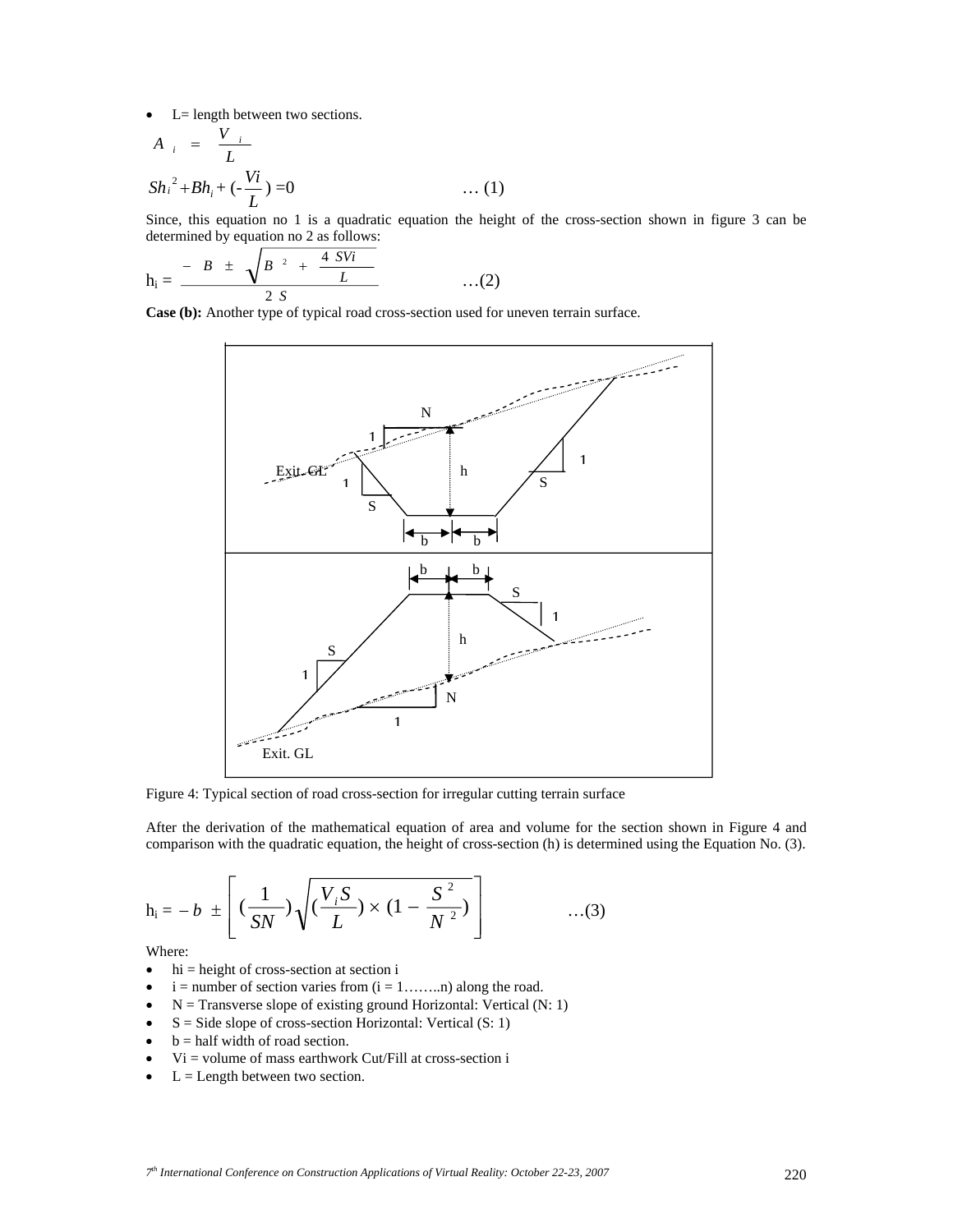• L= length between two sections.

$$
A_{i} = \frac{V_{i}}{L}
$$
  
\n
$$
Sh_{i}^{2} + Bh_{i} + (-\frac{Vi}{L}) = 0
$$
 ... (1)

Since, this equation no 1 is a quadratic equation the height of the cross-section shown in figure 3 can be determined by equation no 2 as follows:

$$
h_i = \frac{-B \pm \sqrt{B^2 + \frac{4 \text{ } SVi}{L}}}{2 \text{ } S} \qquad \qquad ...(2)
$$

**Case (b):** Another type of typical road cross-section used for uneven terrain surface.



Figure 4: Typical section of road cross-section for irregular cutting terrain surface

After the derivation of the mathematical equation of area and volume for the section shown in Figure 4 and comparison with the quadratic equation, the height of cross-section (h) is determined using the Equation No. (3).

$$
h_i = -b \pm \left[ \left( \frac{1}{SN} \right) \sqrt{\left( \frac{V_i S}{L} \right) \times \left( 1 - \frac{S^2}{N^2} \right)} \right] \qquad \qquad ...(3)
$$

Where:

- $\bullet$  hi = height of cross-section at section i
- $i =$  number of section varies from  $(i = 1, \ldots, n)$  along the road.
- $N =$  Transverse slope of existing ground Horizontal: Vertical (N: 1)
- $S = Side slope of cross-section Horizontal: Vertical (S: 1)$
- $\bullet$  b = half width of road section.
- $Vi =$  volume of mass earthwork Cut/Fill at cross-section i
- $\bullet$  L = Length between two section.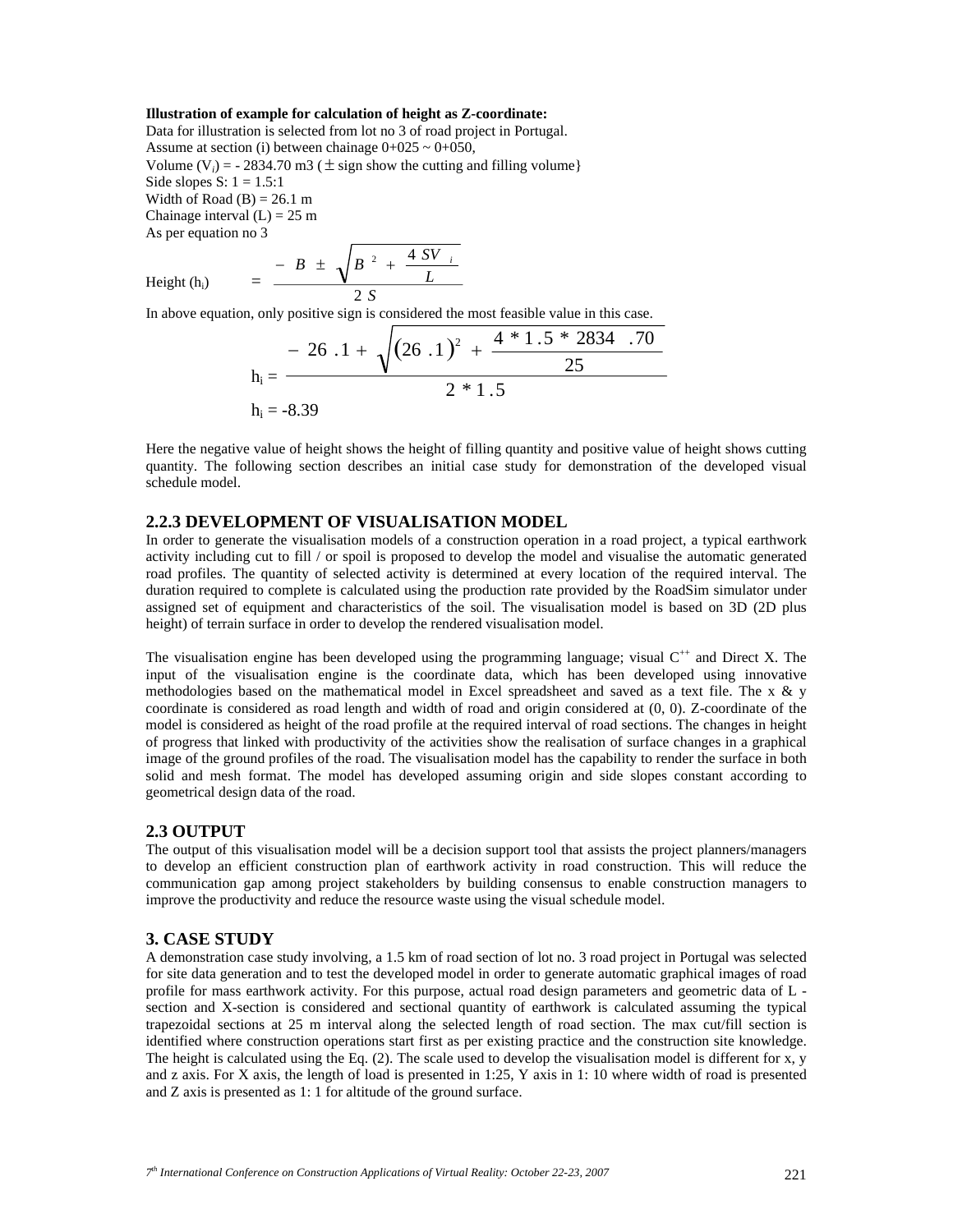#### **Illustration of example for calculation of height as Z-coordinate:**

Data for illustration is selected from lot no 3 of road project in Portugal. Assume at section (i) between chainage  $0+025 \sim 0+050$ , Volume (V<sub>i</sub>) =  $-$  2834.70 m3 ( $\pm$  sign show the cutting and filling volume} Side slopes S:  $1 = 1.5:1$ Width of Road  $(B) = 26.1$  m Chainage interval  $(L) = 25$  m As per equation no 3

Height (h<sub>i</sub>) 
$$
= \frac{-B \pm \sqrt{B^2 + \frac{4SV_i}{L}}}{2S}
$$

In above equation, only positive sign is considered the most feasible value in this case.

$$
h_i = \frac{-26.1 + \sqrt{(26.1)^2 + \frac{4 * 1.5 * 2834 .70}{25}}}{2 * 1.5}
$$
  
h<sub>i</sub> = -8.39

Here the negative value of height shows the height of filling quantity and positive value of height shows cutting quantity. The following section describes an initial case study for demonstration of the developed visual schedule model.

### **2.2.3 DEVELOPMENT OF VISUALISATION MODEL**

In order to generate the visualisation models of a construction operation in a road project, a typical earthwork activity including cut to fill / or spoil is proposed to develop the model and visualise the automatic generated road profiles. The quantity of selected activity is determined at every location of the required interval. The duration required to complete is calculated using the production rate provided by the RoadSim simulator under assigned set of equipment and characteristics of the soil. The visualisation model is based on 3D (2D plus height) of terrain surface in order to develop the rendered visualisation model.

The visualisation engine has been developed using the programming language; visual  $C^{+}$  and Direct X. The input of the visualisation engine is the coordinate data, which has been developed using innovative methodologies based on the mathematical model in Excel spreadsheet and saved as a text file. The x & y coordinate is considered as road length and width of road and origin considered at (0, 0). Z-coordinate of the model is considered as height of the road profile at the required interval of road sections. The changes in height of progress that linked with productivity of the activities show the realisation of surface changes in a graphical image of the ground profiles of the road. The visualisation model has the capability to render the surface in both solid and mesh format. The model has developed assuming origin and side slopes constant according to geometrical design data of the road.

### **2.3 OUTPUT**

The output of this visualisation model will be a decision support tool that assists the project planners/managers to develop an efficient construction plan of earthwork activity in road construction. This will reduce the communication gap among project stakeholders by building consensus to enable construction managers to improve the productivity and reduce the resource waste using the visual schedule model.

#### **3. CASE STUDY**

A demonstration case study involving, a 1.5 km of road section of lot no. 3 road project in Portugal was selected for site data generation and to test the developed model in order to generate automatic graphical images of road profile for mass earthwork activity. For this purpose, actual road design parameters and geometric data of L section and X-section is considered and sectional quantity of earthwork is calculated assuming the typical trapezoidal sections at 25 m interval along the selected length of road section. The max cut/fill section is identified where construction operations start first as per existing practice and the construction site knowledge. The height is calculated using the Eq. (2). The scale used to develop the visualisation model is different for x, y and z axis. For X axis, the length of load is presented in 1:25, Y axis in 1: 10 where width of road is presented and Z axis is presented as 1: 1 for altitude of the ground surface.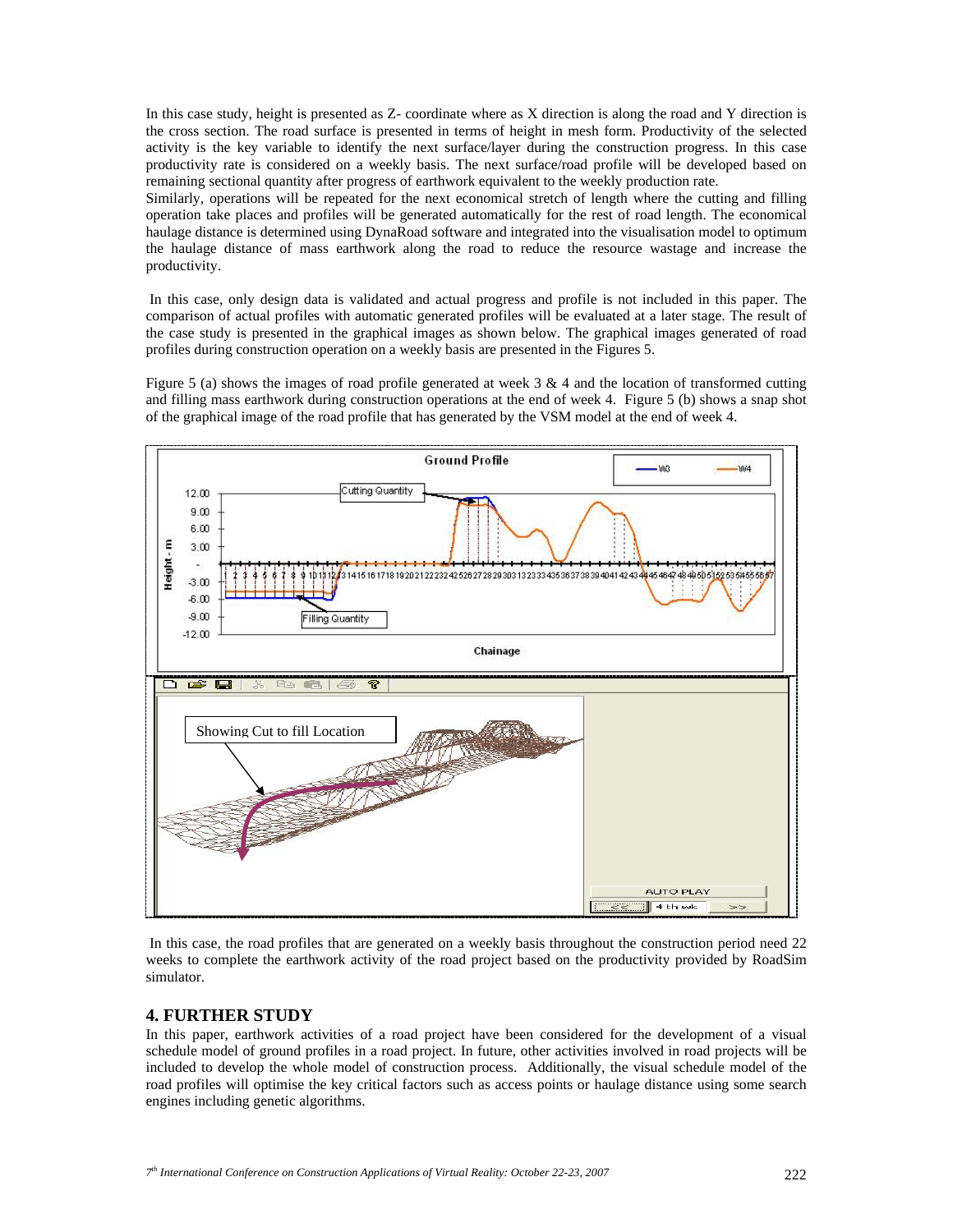In this case study, height is presented as Z- coordinate where as X direction is along the road and Y direction is the cross section. The road surface is presented in terms of height in mesh form. Productivity of the selected activity is the key variable to identify the next surface/layer during the construction progress. In this case productivity rate is considered on a weekly basis. The next surface/road profile will be developed based on remaining sectional quantity after progress of earthwork equivalent to the weekly production rate.

Similarly, operations will be repeated for the next economical stretch of length where the cutting and filling operation take places and profiles will be generated automatically for the rest of road length. The economical haulage distance is determined using DynaRoad software and integrated into the visualisation model to optimum the haulage distance of mass earthwork along the road to reduce the resource wastage and increase the productivity.

 In this case, only design data is validated and actual progress and profile is not included in this paper. The comparison of actual profiles with automatic generated profiles will be evaluated at a later stage. The result of the case study is presented in the graphical images as shown below. The graphical images generated of road profiles during construction operation on a weekly basis are presented in the Figures 5.

Figure 5 (a) shows the images of road profile generated at week  $3 \& 4$  and the location of transformed cutting and filling mass earthwork during construction operations at the end of week 4. Figure 5 (b) shows a snap shot of the graphical image of the road profile that has generated by the VSM model at the end of week 4.



 In this case, the road profiles that are generated on a weekly basis throughout the construction period need 22 weeks to complete the earthwork activity of the road project based on the productivity provided by RoadSim simulator.

### **4. FURTHER STUDY**

In this paper, earthwork activities of a road project have been considered for the development of a visual schedule model of ground profiles in a road project. In future, other activities involved in road projects will be included to develop the whole model of construction process. Additionally, the visual schedule model of the road profiles will optimise the key critical factors such as access points or haulage distance using some search engines including genetic algorithms.